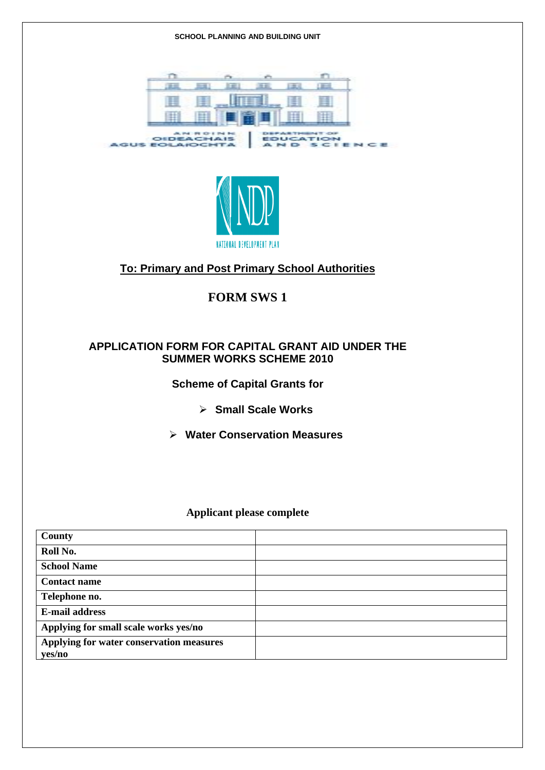#### **SCHOOL PLANNING AND BUILDING UNIT**





#### **To: Primary and Post Primary School Authorities**

#### **FORM SWS 1**

#### **APPLICATION FORM FOR CAPITAL GRANT AID UNDER THE SUMMER WORKS SCHEME 2010**

#### **Scheme of Capital Grants for**

- ¾ **Small Scale Works**
- ¾ **Water Conservation Measures**

#### **Applicant please complete**

| County                                   |  |
|------------------------------------------|--|
| Roll No.                                 |  |
| <b>School Name</b>                       |  |
| <b>Contact name</b>                      |  |
| Telephone no.                            |  |
| <b>E-mail address</b>                    |  |
| Applying for small scale works yes/no    |  |
| Applying for water conservation measures |  |
| yes/no                                   |  |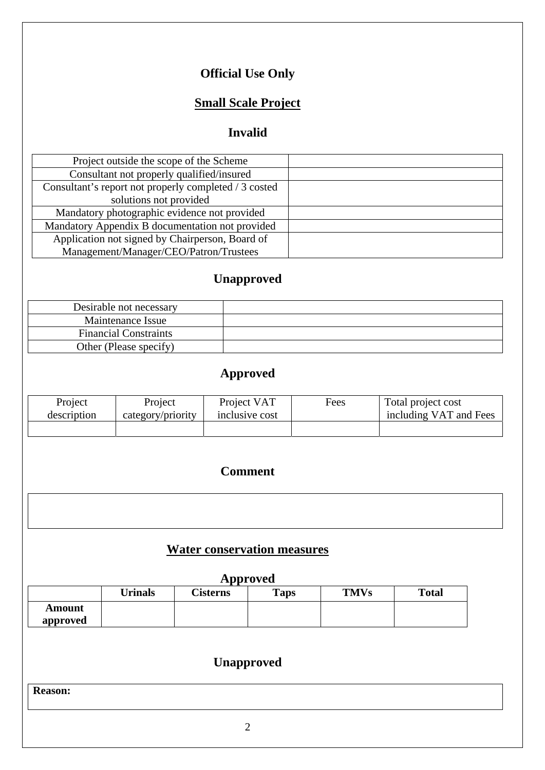# **Official Use Only**

# **Small Scale Project**

## **Invalid**

| Project outside the scope of the Scheme               |  |
|-------------------------------------------------------|--|
| Consultant not properly qualified/insured             |  |
| Consultant's report not properly completed / 3 costed |  |
| solutions not provided                                |  |
| Mandatory photographic evidence not provided          |  |
| Mandatory Appendix B documentation not provided       |  |
| Application not signed by Chairperson, Board of       |  |
| Management/Manager/CEO/Patron/Trustees                |  |

# **Unapproved**

| Desirable not necessary      |  |
|------------------------------|--|
| Maintenance Issue            |  |
| <b>Financial Constraints</b> |  |
| Other (Please specify)       |  |

# **Approved**

| Project     | Project           | Project VAT    | Fees | Total project cost     |
|-------------|-------------------|----------------|------|------------------------|
| description | category/priority | inclusive cost |      | including VAT and Fees |
|             |                   |                |      |                        |

### **Comment**

| ○ 1999年1月19日,1999年1月1日,1999年1月1日,1999年1月1日,1999年1月1日,1999年1月1日,1999年1月1日,1999年1月11日,1999年1月1日,1999年1月1日,1999年1<br>1990年1月10日,1999年1月1日,1999年1月1日,1999年1月1日,1999年1月1日,1999年1月1日,1999年1月1日,1999年1月1日 |  |                                                                                                                       |
|----------------------------------------------------------------------------------------------------------------------------------------------------------------------------------------------------|--|-----------------------------------------------------------------------------------------------------------------------|
|                                                                                                                                                                                                    |  |                                                                                                                       |
|                                                                                                                                                                                                    |  |                                                                                                                       |
|                                                                                                                                                                                                    |  |                                                                                                                       |
|                                                                                                                                                                                                    |  |                                                                                                                       |
|                                                                                                                                                                                                    |  |                                                                                                                       |
|                                                                                                                                                                                                    |  |                                                                                                                       |
|                                                                                                                                                                                                    |  |                                                                                                                       |
|                                                                                                                                                                                                    |  |                                                                                                                       |
|                                                                                                                                                                                                    |  |                                                                                                                       |
|                                                                                                                                                                                                    |  |                                                                                                                       |
|                                                                                                                                                                                                    |  |                                                                                                                       |
|                                                                                                                                                                                                    |  |                                                                                                                       |
|                                                                                                                                                                                                    |  |                                                                                                                       |
|                                                                                                                                                                                                    |  |                                                                                                                       |
|                                                                                                                                                                                                    |  |                                                                                                                       |
|                                                                                                                                                                                                    |  |                                                                                                                       |
|                                                                                                                                                                                                    |  |                                                                                                                       |
|                                                                                                                                                                                                    |  |                                                                                                                       |
|                                                                                                                                                                                                    |  | <u> 1980 - An t-Albany a Carl an t-Albany a t-Albany a t-Albany a t-Albany a t-Albany a t-Albany a t-Albany a t-A</u> |
|                                                                                                                                                                                                    |  |                                                                                                                       |
|                                                                                                                                                                                                    |  |                                                                                                                       |
|                                                                                                                                                                                                    |  |                                                                                                                       |

# **Water conservation measures**

#### **Approved**

|          | <b>Urinals</b> | <b>Cisterns</b> | <b>Taps</b> | <b>TMVs</b> | <b>Total</b> |
|----------|----------------|-----------------|-------------|-------------|--------------|
| Amount   |                |                 |             |             |              |
| approved |                |                 |             |             |              |

# **Unapproved**

**Reason:**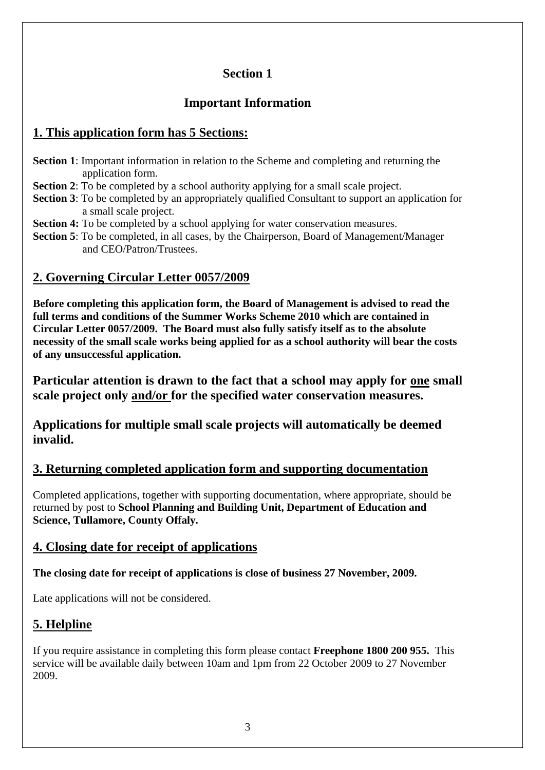### **Section 1**

### **Important Information**

### **1. This application form has 5 Sections:**

- **Section 1**: Important information in relation to the Scheme and completing and returning the application form.
- **Section 2**: To be completed by a school authority applying for a small scale project.
- **Section 3**: To be completed by an appropriately qualified Consultant to support an application for a small scale project.
- **Section 4:** To be completed by a school applying for water conservation measures.
- **Section 5**: To be completed, in all cases, by the Chairperson, Board of Management/Manager and CEO/Patron/Trustees.

### **2. Governing Circular Letter 0057/2009**

**Before completing this application form, the Board of Management is advised to read the full terms and conditions of the Summer Works Scheme 2010 which are contained in Circular Letter 0057/2009. The Board must also fully satisfy itself as to the absolute necessity of the small scale works being applied for as a school authority will bear the costs of any unsuccessful application.** 

**Particular attention is drawn to the fact that a school may apply for one small scale project only and/or for the specified water conservation measures.** 

**Applications for multiple small scale projects will automatically be deemed invalid.** 

### **3. Returning completed application form and supporting documentation**

Completed applications, together with supporting documentation, where appropriate, should be returned by post to **School Planning and Building Unit, Department of Education and Science, Tullamore, County Offaly.** 

### **4. Closing date for receipt of applications**

**The closing date for receipt of applications is close of business 27 November, 2009.**

Late applications will not be considered.

## **5. Helpline**

If you require assistance in completing this form please contact **Freephone 1800 200 955.** This service will be available daily between 10am and 1pm from 22 October 2009 to 27 November 2009.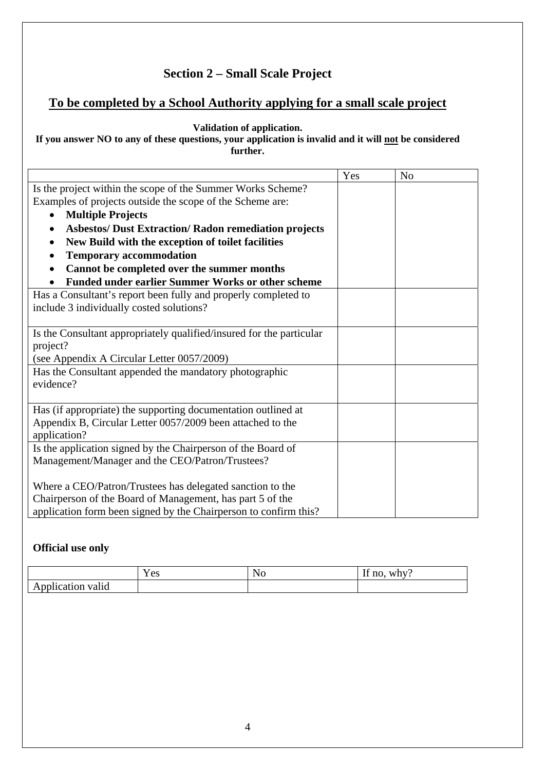### **Section 2 – Small Scale Project**

### **To be completed by a School Authority applying for a small scale project**

#### **Validation of application.**

#### **If you answer NO to any of these questions, your application is invalid and it will not be considered further.**

|                                                                      | Yes | N <sub>o</sub> |
|----------------------------------------------------------------------|-----|----------------|
| Is the project within the scope of the Summer Works Scheme?          |     |                |
| Examples of projects outside the scope of the Scheme are:            |     |                |
| <b>Multiple Projects</b>                                             |     |                |
| <b>Asbestos/ Dust Extraction/ Radon remediation projects</b>         |     |                |
| New Build with the exception of toilet facilities<br>$\bullet$       |     |                |
| <b>Temporary accommodation</b>                                       |     |                |
| Cannot be completed over the summer months                           |     |                |
| <b>Funded under earlier Summer Works or other scheme</b>             |     |                |
| Has a Consultant's report been fully and properly completed to       |     |                |
| include 3 individually costed solutions?                             |     |                |
|                                                                      |     |                |
| Is the Consultant appropriately qualified/insured for the particular |     |                |
| project?                                                             |     |                |
| (see Appendix A Circular Letter 0057/2009)                           |     |                |
| Has the Consultant appended the mandatory photographic               |     |                |
| evidence?                                                            |     |                |
|                                                                      |     |                |
| Has (if appropriate) the supporting documentation outlined at        |     |                |
| Appendix B, Circular Letter 0057/2009 been attached to the           |     |                |
| application?                                                         |     |                |
| Is the application signed by the Chairperson of the Board of         |     |                |
| Management/Manager and the CEO/Patron/Trustees?                      |     |                |
|                                                                      |     |                |
| Where a CEO/Patron/Trustees has delegated sanction to the            |     |                |
| Chairperson of the Board of Management, has part 5 of the            |     |                |
| application form been signed by the Chairperson to confirm this?     |     |                |

#### **Official use only**

|                                                | $\cdot$ $\alpha$<br>1 <sub>0</sub> | ◥◡ | $\sim$ $\sim$<br>why:<br>no<br>л. |
|------------------------------------------------|------------------------------------|----|-----------------------------------|
| $\bullet$<br>valid<br>lication<br><b>A</b> The |                                    |    |                                   |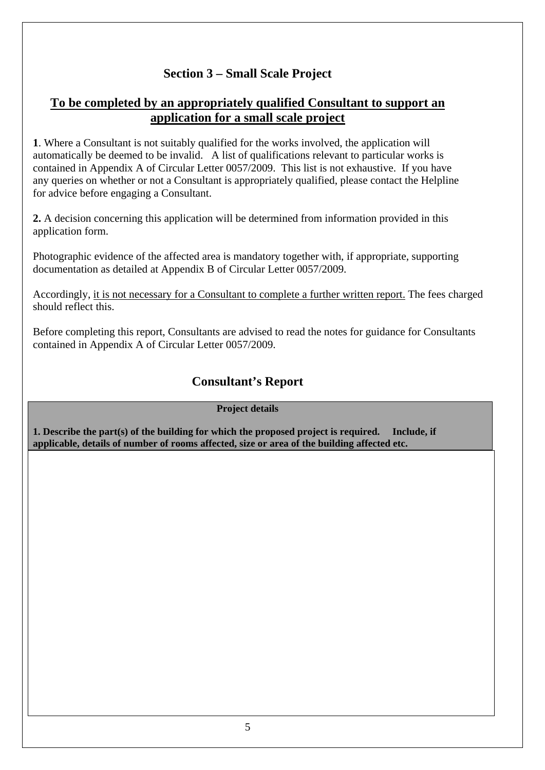### **Section 3 – Small Scale Project**

#### **To be completed by an appropriately qualified Consultant to support an application for a small scale project**

**1**. Where a Consultant is not suitably qualified for the works involved, the application will automatically be deemed to be invalid. A list of qualifications relevant to particular works is contained in Appendix A of Circular Letter 0057/2009. This list is not exhaustive. If you have any queries on whether or not a Consultant is appropriately qualified, please contact the Helpline for advice before engaging a Consultant.

**2.** A decision concerning this application will be determined from information provided in this application form.

Photographic evidence of the affected area is mandatory together with, if appropriate, supporting documentation as detailed at Appendix B of Circular Letter 0057/2009.

Accordingly, it is not necessary for a Consultant to complete a further written report. The fees charged should reflect this.

Before completing this report, Consultants are advised to read the notes for guidance for Consultants contained in Appendix A of Circular Letter 0057/2009.

#### **Consultant's Report**

#### **Project details**

**1. Describe the part(s) of the building for which the proposed project is required. Include, if applicable, details of number of rooms affected, size or area of the building affected etc.**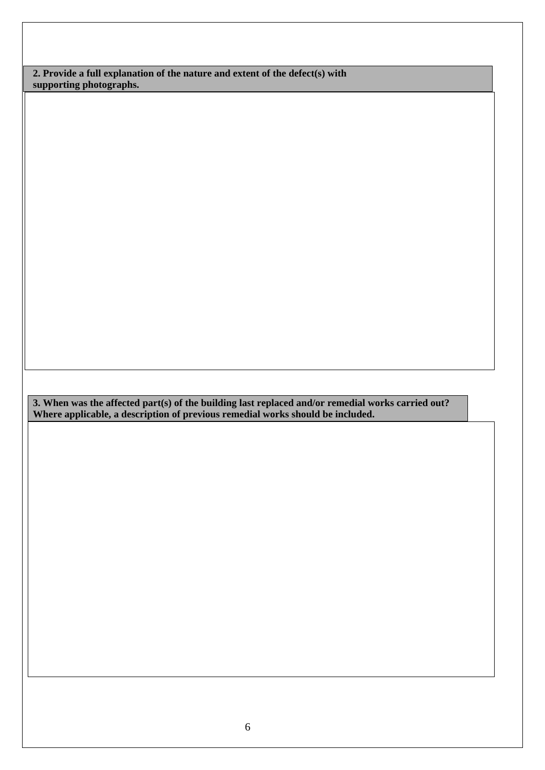**2. Provide a full explanation of the nature and extent of the defect(s) with supporting photographs.** 

**3. When was the affected part(s) of the building last replaced and/or remedial works carried out? Where applicable, a description of previous remedial works should be included.**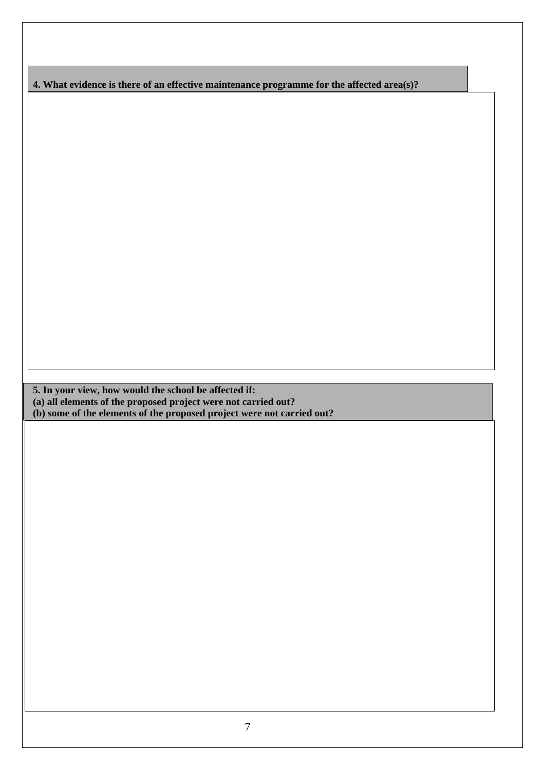**4. What evidence is there of an effective maintenance programme for the affected area(s)?** 

**5. In your view, how would the school be affected if:** 

**(a) all elements of the proposed project were not carried out?** 

**(b) some of the elements of the proposed project were not carried out?**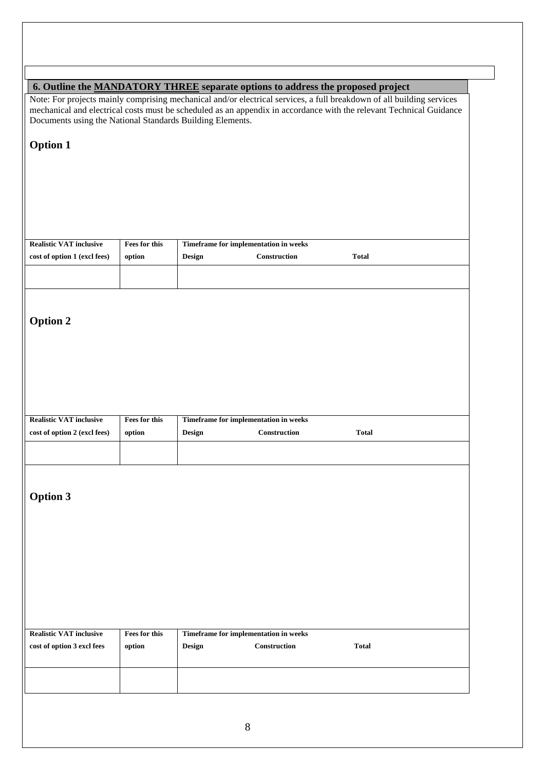| 6. Outline the MANDATORY THREE separate options to address the proposed project |                         |                                                        |                                                              |                                                                                                                                                                                                                                              |
|---------------------------------------------------------------------------------|-------------------------|--------------------------------------------------------|--------------------------------------------------------------|----------------------------------------------------------------------------------------------------------------------------------------------------------------------------------------------------------------------------------------------|
| Documents using the National Standards Building Elements.                       |                         |                                                        |                                                              | Note: For projects mainly comprising mechanical and/or electrical services, a full breakdown of all building services<br>mechanical and electrical costs must be scheduled as an appendix in accordance with the relevant Technical Guidance |
| <b>Option 1</b>                                                                 |                         |                                                        |                                                              |                                                                                                                                                                                                                                              |
|                                                                                 |                         |                                                        |                                                              |                                                                                                                                                                                                                                              |
|                                                                                 |                         |                                                        |                                                              |                                                                                                                                                                                                                                              |
|                                                                                 |                         |                                                        |                                                              |                                                                                                                                                                                                                                              |
|                                                                                 |                         |                                                        |                                                              |                                                                                                                                                                                                                                              |
|                                                                                 |                         |                                                        |                                                              |                                                                                                                                                                                                                                              |
| <b>Realistic VAT inclusive</b>                                                  | Fees for this           | Timeframe for implementation in weeks                  |                                                              |                                                                                                                                                                                                                                              |
| cost of option 1 (excl fees)                                                    | option                  | Design                                                 | Construction                                                 | <b>Total</b>                                                                                                                                                                                                                                 |
|                                                                                 |                         |                                                        |                                                              |                                                                                                                                                                                                                                              |
|                                                                                 |                         |                                                        |                                                              |                                                                                                                                                                                                                                              |
| <b>Option 2</b>                                                                 |                         |                                                        |                                                              |                                                                                                                                                                                                                                              |
|                                                                                 |                         |                                                        |                                                              |                                                                                                                                                                                                                                              |
|                                                                                 |                         |                                                        |                                                              |                                                                                                                                                                                                                                              |
|                                                                                 |                         |                                                        |                                                              |                                                                                                                                                                                                                                              |
|                                                                                 |                         |                                                        |                                                              |                                                                                                                                                                                                                                              |
|                                                                                 |                         |                                                        |                                                              |                                                                                                                                                                                                                                              |
| <b>Realistic VAT inclusive</b>                                                  | Fees for this           | Timeframe for implementation in weeks                  |                                                              |                                                                                                                                                                                                                                              |
| cost of option 2 (excl fees)                                                    | option                  | <b>Design</b>                                          | $\begin{minipage}{.4\linewidth} Construction \end{minipage}$ | <b>Total</b>                                                                                                                                                                                                                                 |
|                                                                                 |                         |                                                        |                                                              |                                                                                                                                                                                                                                              |
|                                                                                 |                         |                                                        |                                                              |                                                                                                                                                                                                                                              |
|                                                                                 |                         |                                                        |                                                              |                                                                                                                                                                                                                                              |
| <b>Option 3</b>                                                                 |                         |                                                        |                                                              |                                                                                                                                                                                                                                              |
|                                                                                 |                         |                                                        |                                                              |                                                                                                                                                                                                                                              |
|                                                                                 |                         |                                                        |                                                              |                                                                                                                                                                                                                                              |
|                                                                                 |                         |                                                        |                                                              |                                                                                                                                                                                                                                              |
|                                                                                 |                         |                                                        |                                                              |                                                                                                                                                                                                                                              |
|                                                                                 |                         |                                                        |                                                              |                                                                                                                                                                                                                                              |
|                                                                                 |                         |                                                        |                                                              |                                                                                                                                                                                                                                              |
|                                                                                 |                         |                                                        |                                                              |                                                                                                                                                                                                                                              |
|                                                                                 |                         |                                                        |                                                              |                                                                                                                                                                                                                                              |
| <b>Realistic VAT inclusive</b><br>cost of option 3 excl fees                    | Fees for this<br>option | Timeframe for implementation in weeks<br><b>Design</b> | Construction                                                 | <b>Total</b>                                                                                                                                                                                                                                 |
|                                                                                 |                         |                                                        |                                                              |                                                                                                                                                                                                                                              |
|                                                                                 |                         |                                                        |                                                              |                                                                                                                                                                                                                                              |
|                                                                                 |                         |                                                        |                                                              |                                                                                                                                                                                                                                              |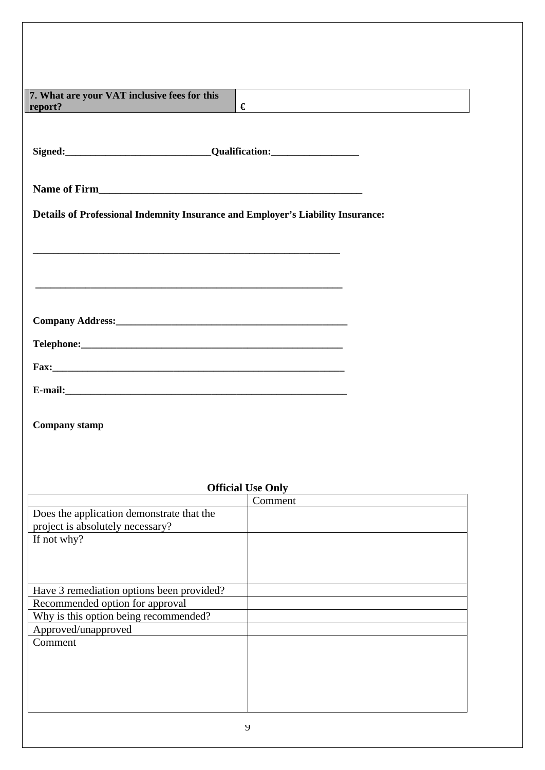| 7. What are your VAT inclusive fees for this                                    |                                                            |
|---------------------------------------------------------------------------------|------------------------------------------------------------|
| report?                                                                         | €<br><u> 1989 - Johann Stein, fransk politik (d. 1989)</u> |
|                                                                                 |                                                            |
|                                                                                 |                                                            |
| Signed: <u>___________________________________Qualification:</u>                |                                                            |
|                                                                                 |                                                            |
|                                                                                 |                                                            |
|                                                                                 |                                                            |
| Details of Professional Indemnity Insurance and Employer's Liability Insurance: |                                                            |
|                                                                                 |                                                            |
|                                                                                 |                                                            |
|                                                                                 |                                                            |
|                                                                                 |                                                            |
|                                                                                 |                                                            |
|                                                                                 |                                                            |
|                                                                                 |                                                            |
|                                                                                 |                                                            |
|                                                                                 |                                                            |
|                                                                                 |                                                            |
|                                                                                 |                                                            |
|                                                                                 |                                                            |
|                                                                                 |                                                            |
|                                                                                 |                                                            |

**Company stamp** 

|                                           | Comment |
|-------------------------------------------|---------|
| Does the application demonstrate that the |         |
| project is absolutely necessary?          |         |
| If not why?                               |         |
|                                           |         |
|                                           |         |
|                                           |         |
| Have 3 remediation options been provided? |         |
| Recommended option for approval           |         |
| Why is this option being recommended?     |         |
| Approved/unapproved                       |         |
| Comment                                   |         |
|                                           |         |
|                                           |         |
|                                           |         |
|                                           |         |
|                                           |         |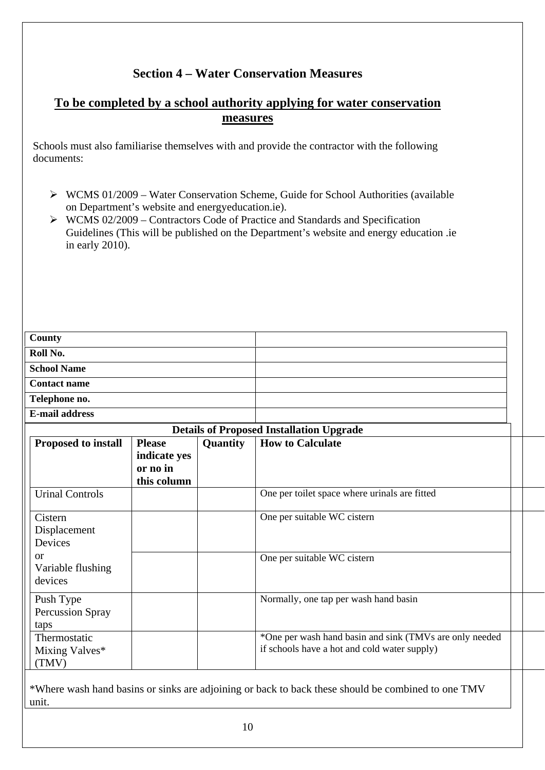### **Section 4 – Water Conservation Measures**

#### **To be completed by a school authority applying for water conservation measures**

Schools must also familiarise themselves with and provide the contractor with the following documents:

- $\triangleright$  WCMS 01/2009 Water Conservation Scheme, Guide for School Authorities (available on Department's website and energyeducation.ie).
- $\triangleright$  WCMS 02/2009 Contractors Code of Practice and Standards and Specification Guidelines (This will be published on the Department's website and energy education .ie in early 2010).

| County                                        |                                                          |          |                                                                                                         |  |  |
|-----------------------------------------------|----------------------------------------------------------|----------|---------------------------------------------------------------------------------------------------------|--|--|
| Roll No.                                      |                                                          |          |                                                                                                         |  |  |
| <b>School Name</b>                            |                                                          |          |                                                                                                         |  |  |
| <b>Contact name</b><br>Telephone no.          |                                                          |          |                                                                                                         |  |  |
|                                               |                                                          |          |                                                                                                         |  |  |
| <b>E-mail address</b>                         |                                                          |          |                                                                                                         |  |  |
|                                               |                                                          |          | <b>Details of Proposed Installation Upgrade</b>                                                         |  |  |
| <b>Proposed to install</b>                    | <b>Please</b><br>indicate yes<br>or no in<br>this column | Quantity | <b>How to Calculate</b>                                                                                 |  |  |
| <b>Urinal Controls</b>                        |                                                          |          | One per toilet space where urinals are fitted                                                           |  |  |
| Cistern<br>Displacement<br>Devices            |                                                          |          | One per suitable WC cistern                                                                             |  |  |
| <sub>or</sub><br>Variable flushing<br>devices |                                                          |          | One per suitable WC cistern                                                                             |  |  |
| Push Type<br><b>Percussion Spray</b><br>taps  |                                                          |          | Normally, one tap per wash hand basin                                                                   |  |  |
| Thermostatic<br>Mixing Valves*<br>(TMV)       |                                                          |          | *One per wash hand basin and sink (TMVs are only needed<br>if schools have a hot and cold water supply) |  |  |
|                                               |                                                          |          |                                                                                                         |  |  |

\*Where wash hand basins or sinks are adjoining or back to back these should be combined to one TMV unit.